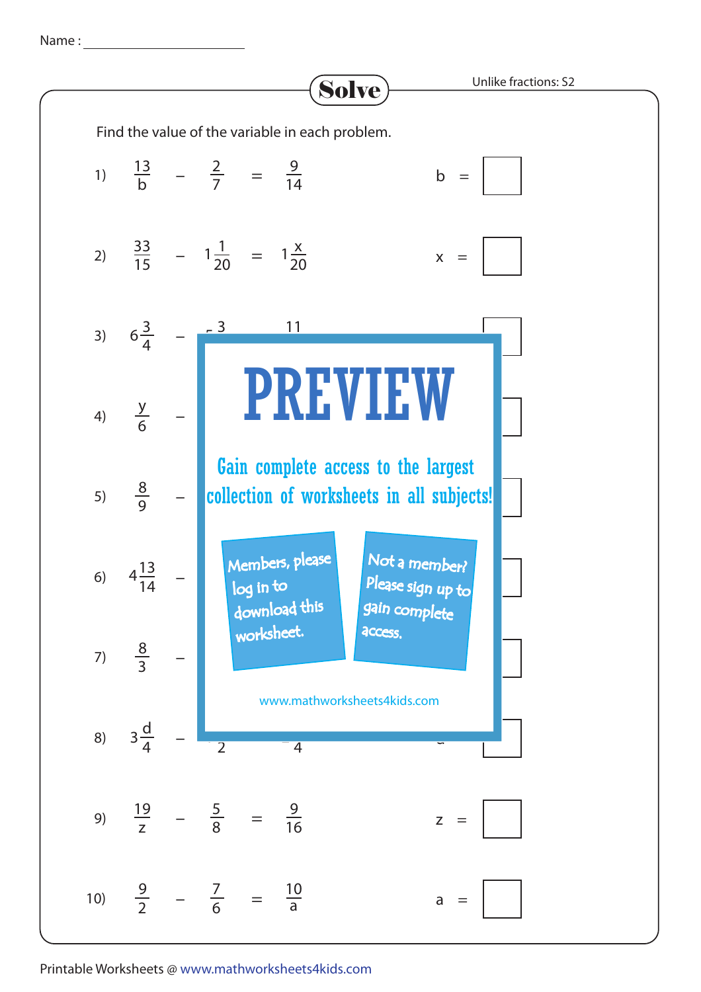